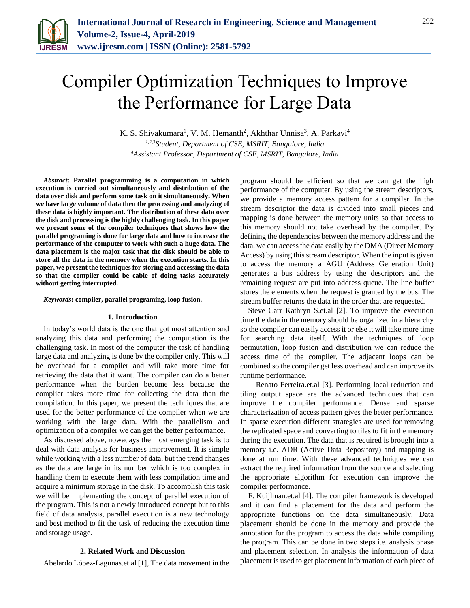

# Compiler Optimization Techniques to Improve the Performance for Large Data

K. S. Shivakumara<sup>1</sup>, V. M. Hemanth<sup>2</sup>, Akhthar Unnisa<sup>3</sup>, A. Parkavi<sup>4</sup> *1,2,3Student, Department of CSE, MSRIT, Bangalore, India 4Assistant Professor, Department of CSE, MSRIT, Bangalore, India*

*Abstract***: Parallel programming is a computation in which execution is carried out simultaneously and distribution of the data over disk and perform some task on it simultaneously. When we have large volume of data then the processing and analyzing of these data is highly important. The distribution of these data over the disk and processing is the highly challenging task. In this paper we present some of the compiler techniques that shows how the parallel programing is done for large data and how to increase the performance of the computer to work with such a huge data. The data placement is the major task that the disk should be able to store all the data in the memory when the execution starts. In this paper, we present the techniques for storing and accessing the data so that the compiler could be cable of doing tasks accurately without getting interrupted.**

*Keywords***: compiler, parallel programing, loop fusion.**

## **1. Introduction**

In today's world data is the one that got most attention and analyzing this data and performing the computation is the challenging task. In most of the computer the task of handling large data and analyzing is done by the compiler only. This will be overhead for a compiler and will take more time for retrieving the data that it want. The compiler can do a better performance when the burden become less because the complier takes more time for collecting the data than the compilation. In this paper, we present the techniques that are used for the better performance of the compiler when we are working with the large data. With the parallelism and optimization of a compiler we can get the better performance.

As discussed above, nowadays the most emerging task is to deal with data analysis for business improvement. It is simple while working with a less number of data, but the trend changes as the data are large in its number which is too complex in handling them to execute them with less compilation time and acquire a minimum storage in the disk. To accomplish this task we will be implementing the concept of parallel execution of the program. This is not a newly introduced concept but to this field of data analysis, parallel execution is a new technology and best method to fit the task of reducing the execution time and storage usage.

## **2. Related Work and Discussion**

Abelardo López-Lagunas.et.al [1], The data movement in the

program should be efficient so that we can get the high performance of the computer. By using the stream descriptors, we provide a memory access pattern for a compiler. In the stream descriptor the data is divided into small pieces and mapping is done between the memory units so that access to this memory should not take overhead by the compiler. By defining the dependencies between the memory address and the data, we can access the data easily by the DMA (Direct Memory Access) by using this stream descriptor. When the input is given to access the memory a AGU (Address Generation Unit) generates a bus address by using the descriptors and the remaining request are put into address queue. The line buffer stores the elements when the request is granted by the bus. The stream buffer returns the data in the order that are requested.

Steve Carr Kathryn S.et.al [2]. To improve the execution time the data in the memory should be organized in a hierarchy so the compiler can easily access it or else it will take more time for searching data itself. With the techniques of loop permutation, loop fusion and distribution we can reduce the access time of the compiler. The adjacent loops can be combined so the compiler get less overhead and can improve its runtime performance.

Renato Ferreira.et.al [3]. Performing local reduction and tiling output space are the advanced techniques that can improve the compiler performance. Dense and sparse characterization of access pattern gives the better performance. In sparse execution different strategies are used for removing the replicated space and converting to tiles to fit in the memory during the execution. The data that is required is brought into a memory i.e. ADR (Active Data Repository) and mapping is done at run time. With these advanced techniques we can extract the required information from the source and selecting the appropriate algorithm for execution can improve the compiler performance.

F. Kuijlman.et.al [4]. The compiler framework is developed and it can find a placement for the data and perform the appropriate functions on the data simultaneously. Data placement should be done in the memory and provide the annotation for the program to access the data while compiling the program. This can be done in two steps i.e. analysis phase and placement selection. In analysis the information of data placement is used to get placement information of each piece of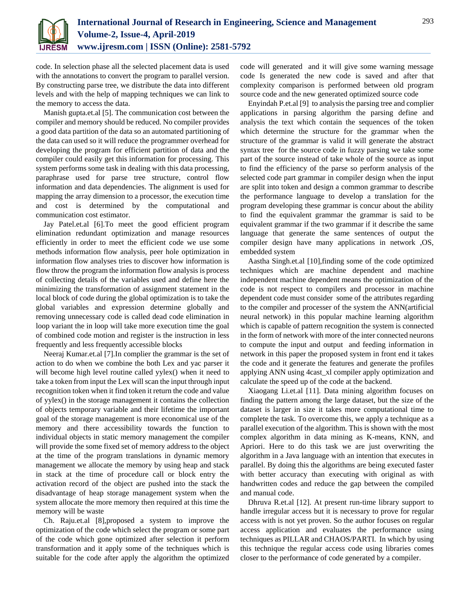

code. In selection phase all the selected placement data is used with the annotations to convert the program to parallel version. By constructing parse tree, we distribute the data into different levels and with the help of mapping techniques we can link to the memory to access the data.

Manish gupta.et.al [5]. The communication cost between the compiler and memory should be reduced. No compiler provides a good data partition of the data so an automated partitioning of the data can used so it will reduce the programmer overhead for developing the program for efficient partition of data and the compiler could easily get this information for processing. This system performs some task in dealing with this data processing, paraphrase used for parse tree structure, control flow information and data dependencies. The alignment is used for mapping the array dimension to a processor, the execution time and cost is determined by the computational and communication cost estimator.

Jay Patel.et.al [6].To meet the good efficient program elimination redundant optimization and manage resources efficiently in order to meet the efficient code we use some methods information flow analysis, peer hole optimization in information flow analyses tries to discover how information is flow throw the program the information flow analysis is process of collecting details of the variables used and define here the minimizing the transformation of assignment statement in the local block of code during the global optimization is to take the global variables and expression determine globally and removing unnecessary code is called dead code elimination in loop variant the in loop will take more execution time the goal of combined code motion and register is the instruction in less frequently and less frequently accessible blocks

Neeraj Kumar.et.al [7].In complier the grammar is the set of action to do when we combine the both Lex and yac parser it will become high level routine called yylex() when it need to take a token from input the Lex will scan the input through input recognition token when it find token it return the code and value of yylex() in the storage management it contains the collection of objects temporary variable and their lifetime the important goal of the storage management is more economical use of the memory and there accessibility towards the function to individual objects in static memory management the compiler will provide the some fixed set of memory address to the object at the time of the program translations in dynamic memory management we allocate the memory by using heap and stack in stack at the time of procedure call or block entry the activation record of the object are pushed into the stack the disadvantage of heap storage management system when the system allocate the more memory then required at this time the memory will be waste

Ch. Raju.et.al [8],proposed a system to improve the optimization of the code which select the program or some part of the code which gone optimized after selection it perform transformation and it apply some of the techniques which is suitable for the code after apply the algorithm the optimized

code will generated and it will give some warning message code Is generated the new code is saved and after that complexity comparison is performed between old program source code and the new generated optimized source code

Enyindah P.et.al [9] to analysis the parsing tree and complier applications in parsing algorithm the parsing define and analysis the text which contain the sequences of the token which determine the structure for the grammar when the structure of the grammar is valid it will generate the abstract syntax tree for the source code in fuzzy parsing we take some part of the source instead of take whole of the source as input to find the efficiency of the parse so perform analysis of the selected code part grammar in compiler design when the input are split into token and design a common grammar to describe the performance language to develop a translation for the program developing these grammar is concur about the ability to find the equivalent grammar the grammar is said to be equivalent grammar if the two grammar if it describe the same language that generate the same sentences of output the compiler design have many applications in network ,OS, embedded system

Aastha Singh.et.al [10],finding some of the code optimized techniques which are machine dependent and machine independent machine dependent means the optimization of the code is not respect to compilers and processor in machine dependent code must consider some of the attributes regarding to the compiler and processer of the system the ANN(artificial neural network) in this popular machine learning algorithm which is capable of pattern recognition the system is connected in the form of network with more of the inter connected neurons to compute the input and output and feeding information in network in this paper the proposed system in front end it takes the code and it generate the features and generate the profiles applying ANN using 4cast\_xl compiler apply optimization and calculate the speed up of the code at the backend.

Xiaogang Li.et.al [11]. Data mining algorithm focuses on finding the pattern among the large dataset, but the size of the dataset is larger in size it takes more computational time to complete the task. To overcome this, we apply a technique as a parallel execution of the algorithm. This is shown with the most complex algorithm in data mining as K-means, KNN, and Apriori. Here to do this task we are just overwriting the algorithm in a Java language with an intention that executes in parallel. By doing this the algorithms are being executed faster with better accuracy than executing with original as with handwritten codes and reduce the gap between the compiled and manual code.

Dhruva R.et.al [12]. At present run-time library support to handle irregular access but it is necessary to prove for regular access with is not yet proven. So the author focuses on regular access application and evaluates the performance using techniques as PILLAR and CHAOS/PARTI. In which by using this technique the regular access code using libraries comes closer to the performance of code generated by a compiler.